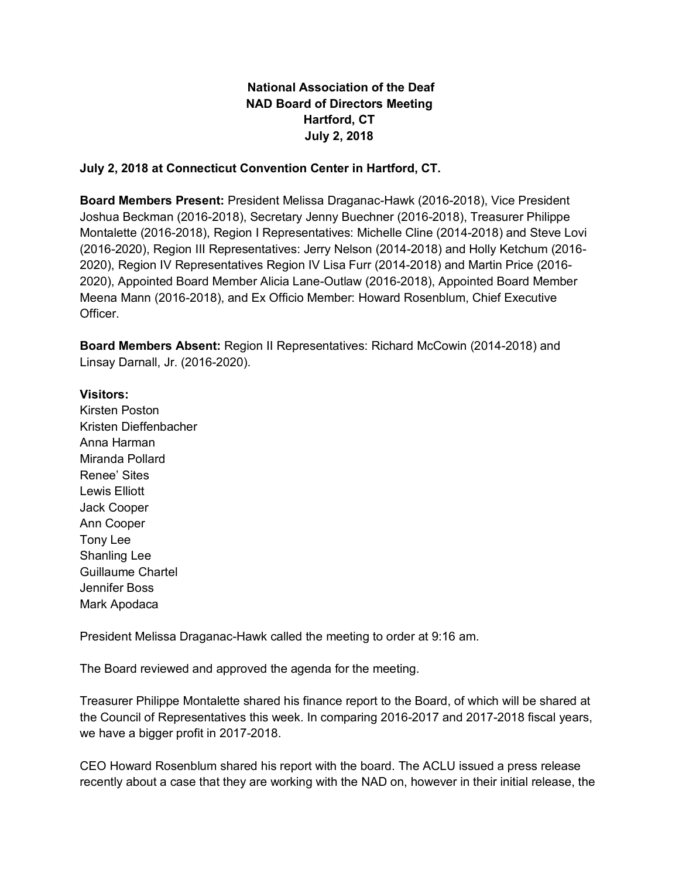## **National Association of the Deaf NAD Board of Directors Meeting Hartford, CT July 2, 2018**

## **July 2, 2018 at Connecticut Convention Center in Hartford, CT.**

**Board Members Present:** President Melissa Draganac-Hawk (2016-2018), Vice President Joshua Beckman (2016-2018), Secretary Jenny Buechner (2016-2018), Treasurer Philippe Montalette (2016-2018), Region I Representatives: Michelle Cline (2014-2018) and Steve Lovi (2016-2020), Region III Representatives: Jerry Nelson (2014-2018) and Holly Ketchum (2016- 2020), Region IV Representatives Region IV Lisa Furr (2014-2018) and Martin Price (2016- 2020), Appointed Board Member Alicia Lane-Outlaw (2016-2018), Appointed Board Member Meena Mann (2016-2018), and Ex Officio Member: Howard Rosenblum, Chief Executive Officer.

**Board Members Absent:** Region II Representatives: Richard McCowin (2014-2018) and Linsay Darnall, Jr. (2016-2020).

## **Visitors:**

Kirsten Poston Kristen Dieffenbacher Anna Harman Miranda Pollard Renee' Sites Lewis Elliott Jack Cooper Ann Cooper Tony Lee Shanling Lee Guillaume Chartel Jennifer Boss Mark Apodaca

President Melissa Draganac-Hawk called the meeting to order at 9:16 am.

The Board reviewed and approved the agenda for the meeting.

Treasurer Philippe Montalette shared his finance report to the Board, of which will be shared at the Council of Representatives this week. In comparing 2016-2017 and 2017-2018 fiscal years, we have a bigger profit in 2017-2018.

CEO Howard Rosenblum shared his report with the board. The ACLU issued a press release recently about a case that they are working with the NAD on, however in their initial release, the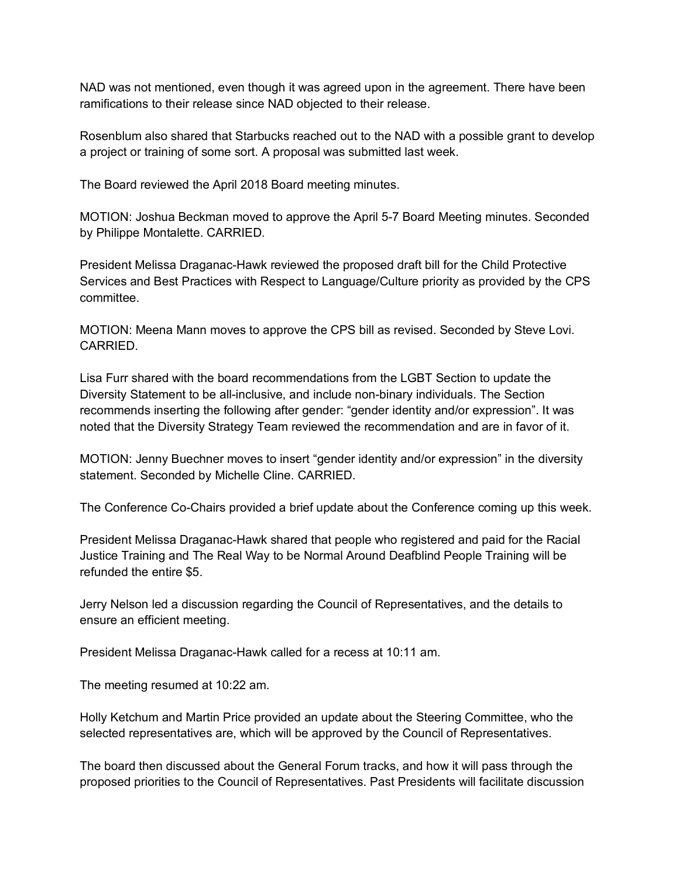NAD was not mentioned, even though it was agreed upon in the agreement. There have been ramifications to their release since NAD objected to their release.

Rosenblum also shared that Starbucks reached out to the NAD with a possible grant to develop a project or training of some sort. A proposal was submitted last week.

The Board reviewed the April 2018 Board meeting minutes.

MOTION: Joshua Beckman moved to approve the April 5-7 Board Meeting minutes. Seconded by Philippe Montalette. CARRIED.

President Melissa Draganac-Hawk reviewed the proposed draft bill for the Child Protective Services and Best Practices with Respect to Language/Culture priority as provided by the CPS committee.

MOTION: Meena Mann moves to approve the CPS bill as revised. Seconded by Steve Lovi. CARRIED.

Lisa Furr shared with the board recommendations from the LGBT Section to update the Diversity Statement to be all-inclusive, and include non-binary individuals. The Section recommends inserting the following after gender: "gender identity and/or expression". It was noted that the Diversity Strategy Team reviewed the recommendation and are in favor of it.

MOTION: Jenny Buechner moves to insert "gender identity and/or expression" in the diversity statement. Seconded by Michelle Cline. CARRIED.

The Conference Co-Chairs provided a brief update about the Conference coming up this week.

President Melissa Draganac-Hawk shared that people who registered and paid for the Racial Justice Training and The Real Way to be Normal Around Deafblind People Training will be refunded the entire \$5.

Jerry Nelson led a discussion regarding the Council of Representatives, and the details to ensure an efficient meeting.

President Melissa Draganac-Hawk called for a recess at 10:11 am.

The meeting resumed at 10:22 am.

Holly Ketchum and Martin Price provided an update about the Steering Committee, who the selected representatives are, which will be approved by the Council of Representatives.

The board then discussed about the General Forum tracks, and how it will pass through the proposed priorities to the Council of Representatives. Past Presidents will facilitate discussion